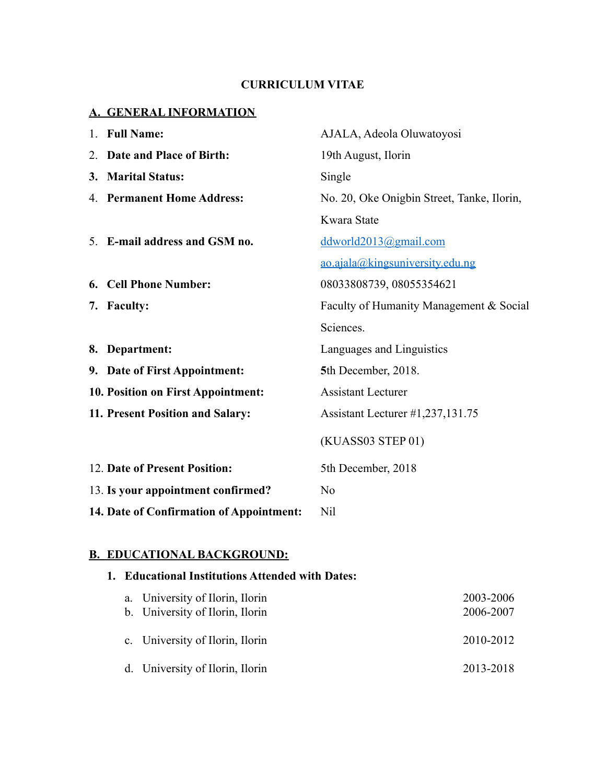# **CURRICULUM VITAE**

### **A. GENERAL INFORMATION**

| 1. Full Name:                            | AJALA, Adeola Oluwatoyosi                  |
|------------------------------------------|--------------------------------------------|
| 2. Date and Place of Birth:              | 19th August, Ilorin                        |
| 3. Marital Status:                       | Single                                     |
| 4. Permanent Home Address:               | No. 20, Oke Onigbin Street, Tanke, Ilorin, |
|                                          | Kwara State                                |
| 5. E-mail address and GSM no.            | $ddworld2013$ @gmail.com                   |
|                                          | ao.ajala@kingsuniversity.edu.ng            |
| 6. Cell Phone Number:                    | 08033808739, 08055354621                   |
| 7. Faculty:                              | Faculty of Humanity Management & Social    |
|                                          | Sciences.                                  |
| 8. Department:                           | Languages and Linguistics                  |
| 9. Date of First Appointment:            | 5th December, 2018.                        |
| 10. Position on First Appointment:       | <b>Assistant Lecturer</b>                  |
| 11. Present Position and Salary:         | Assistant Lecturer #1,237,131.75           |
|                                          | (KUASS03 STEP 01)                          |
| 12. Date of Present Position:            | 5th December, 2018                         |
| 13. Is your appointment confirmed?       | No                                         |
| 14. Date of Confirmation of Appointment: | Nil                                        |

### **B. EDUCATIONAL BACKGROUND:**

| 1. Educational Institutions Attended with Dates:                   |                        |  |
|--------------------------------------------------------------------|------------------------|--|
| a. University of Ilorin, Ilorin<br>b. University of Ilorin, Ilorin | 2003-2006<br>2006-2007 |  |
| c. University of Ilorin, Ilorin                                    | 2010-2012              |  |
| d. University of Ilorin, Ilorin                                    | 2013-2018              |  |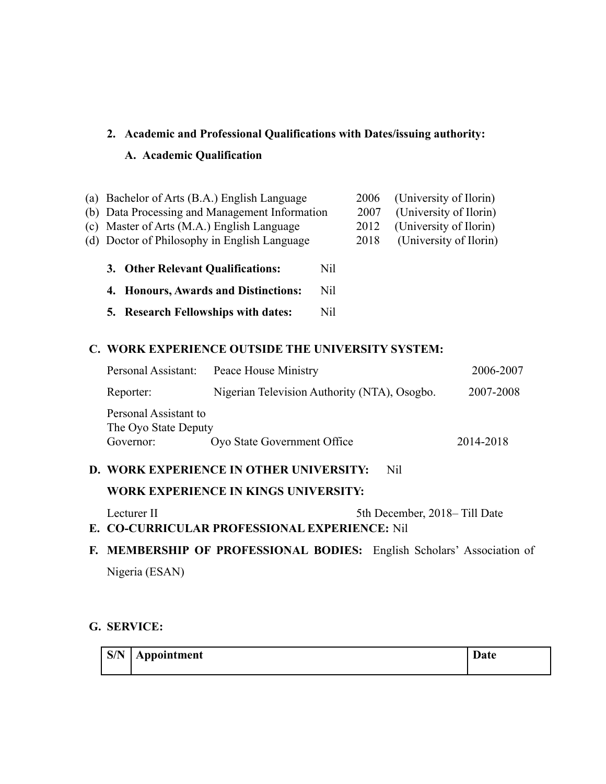### **2. Academic and Professional Qualifications with Dates/issuing authority:**

### **A. Academic Qualification**

| (a) Bachelor of Arts (B.A.) English Language   |     | 2006 | (University of Ilorin) |
|------------------------------------------------|-----|------|------------------------|
| (b) Data Processing and Management Information |     | 2007 | (University of Ilorin) |
| (c) Master of Arts (M.A.) English Language     |     | 2012 | (University of Ilorin) |
| (d) Doctor of Philosophy in English Language   |     | 2018 | (University of Ilorin) |
|                                                |     |      |                        |
| 3. Other Relevant Qualifications:              | Nil |      |                        |
| 4. Honours, Awards and Distinctions:           | Nil |      |                        |
| 5. Research Fellowships with dates:            | Nil |      |                        |
|                                                |     |      |                        |

### **C. WORK EXPERIENCE OUTSIDE THE UNIVERSITY SYSTEM:**

| Personal Assistant:                                        | Peace House Ministry                         |           |
|------------------------------------------------------------|----------------------------------------------|-----------|
| Reporter:                                                  | Nigerian Television Authority (NTA), Osogbo. | 2007-2008 |
| Personal Assistant to<br>The Oyo State Deputy<br>Governor: | Oyo State Government Office                  | 2014-2018 |

## **D. WORK EXPERIENCE IN OTHER UNIVERSITY:** Nil

### **WORK EXPERIENCE IN KINGS UNIVERSITY:**

Lecturer II 5th December, 2018– Till Date

**E. CO-CURRICULAR PROFESSIONAL EXPERIENCE:** Nil

# **F. MEMBERSHIP OF PROFESSIONAL BODIES:** English Scholars' Association of Nigeria (ESAN)

#### **G. SERVICE:**

| $\mathbf{S/N}$ | Appointment | ъ.<br>Date |
|----------------|-------------|------------|
|                |             |            |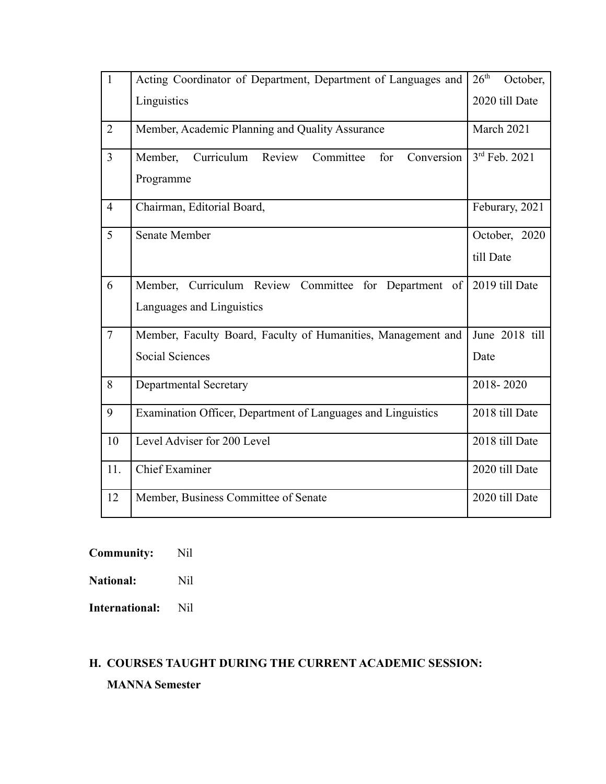| $\mathbf{1}$   | Acting Coordinator of Department, Department of Languages and                      | 26 <sup>th</sup><br>October, |
|----------------|------------------------------------------------------------------------------------|------------------------------|
|                | Linguistics                                                                        | 2020 till Date               |
| $\overline{2}$ | Member, Academic Planning and Quality Assurance                                    | March 2021                   |
| $\overline{3}$ | Member, Curriculum Review<br>Conversion<br>Committee<br>for<br>Programme           | 3rd Feb. 2021                |
| $\overline{4}$ | Chairman, Editorial Board,                                                         | Feburary, 2021               |
| 5              | <b>Senate Member</b>                                                               | October, 2020<br>till Date   |
| 6              | Member, Curriculum Review Committee for Department of<br>Languages and Linguistics | 2019 till Date               |
| $\overline{7}$ | Member, Faculty Board, Faculty of Humanities, Management and                       | June 2018 till               |
|                | <b>Social Sciences</b>                                                             | Date                         |
| 8              | <b>Departmental Secretary</b>                                                      | 2018-2020                    |
| 9              | Examination Officer, Department of Languages and Linguistics                       | 2018 till Date               |
| 10             | Level Adviser for 200 Level                                                        | 2018 till Date               |
| 11.            | <b>Chief Examiner</b>                                                              | 2020 till Date               |
| 12             | Member, Business Committee of Senate                                               | 2020 till Date               |

**Community:** Nil

**National:** Nil

**International:** Nil

# **H. COURSES TAUGHT DURING THE CURRENT ACADEMIC SESSION: MANNA Semester**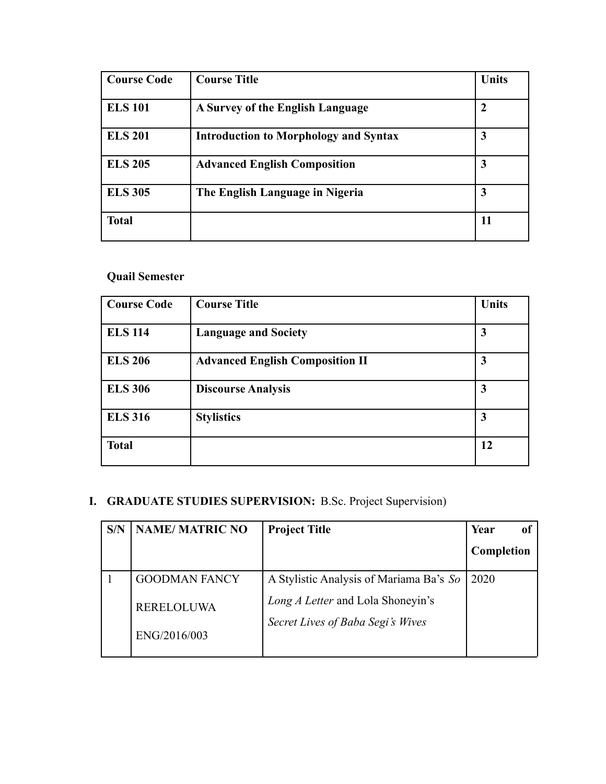| <b>Course Code</b> | <b>Course Title</b>                          | <b>Units</b> |
|--------------------|----------------------------------------------|--------------|
| <b>ELS 101</b>     | A Survey of the English Language             | $\mathbf 2$  |
| <b>ELS 201</b>     | <b>Introduction to Morphology and Syntax</b> | 3            |
| <b>ELS 205</b>     | <b>Advanced English Composition</b>          | 3            |
| <b>ELS 305</b>     | The English Language in Nigeria              | 3            |
| <b>Total</b>       |                                              | 11           |

# **Quail Semester**

| <b>Course Code</b> | <b>Course Title</b>                    | <b>Units</b> |
|--------------------|----------------------------------------|--------------|
| <b>ELS 114</b>     | <b>Language and Society</b>            | 3            |
| <b>ELS 206</b>     | <b>Advanced English Composition II</b> | 3            |
| <b>ELS 306</b>     | <b>Discourse Analysis</b>              | 3            |
| <b>ELS 316</b>     | <b>Stylistics</b>                      | 3            |
| <b>Total</b>       |                                        | 12           |

# **I. GRADUATE STUDIES SUPERVISION:** B.Sc. Project Supervision)

| S/N | <b>NAME/MATRIC NO</b>             | <b>Project Title</b>                                                   | Year       |
|-----|-----------------------------------|------------------------------------------------------------------------|------------|
|     |                                   |                                                                        | Completion |
|     | <b>GOODMAN FANCY</b>              | A Stylistic Analysis of Mariama Ba's So                                | 2020       |
|     | <b>RERELOLUWA</b><br>ENG/2016/003 | Long A Letter and Lola Shoneyin's<br>Secret Lives of Baba Segi's Wives |            |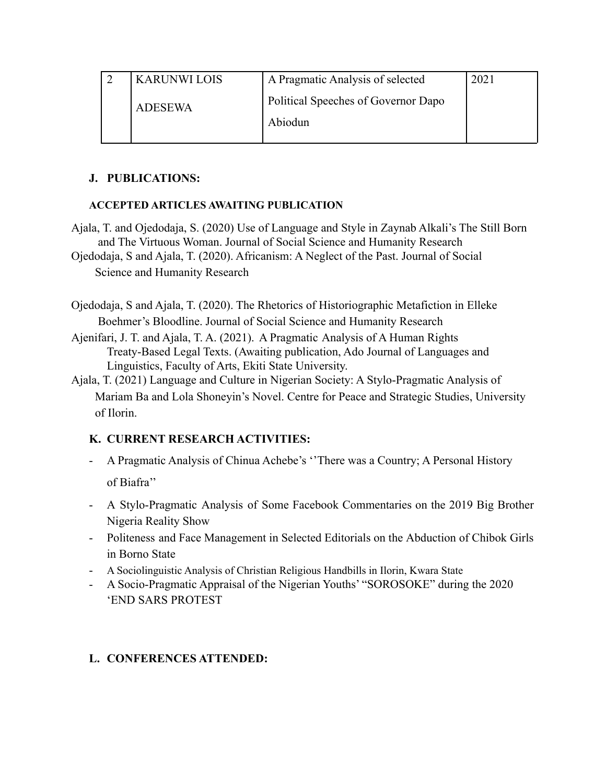|                | <b>KARUNWI LOIS</b> | A Pragmatic Analysis of selected    | 2021 |
|----------------|---------------------|-------------------------------------|------|
| <b>ADESEWA</b> |                     | Political Speeches of Governor Dapo |      |
|                |                     | Abiodun                             |      |

#### **J. PUBLICATIONS:**

### **ACCEPTED ARTICLES AWAITING PUBLICATION**

Ajala, T. and Ojedodaja, S. (2020) Use of Language and Style in Zaynab Alkali's The Still Born and The Virtuous Woman. Journal of Social Science and Humanity Research Ojedodaja, S and Ajala, T. (2020). Africanism: A Neglect of the Past. Journal of Social

Science and Humanity Research

Ojedodaja, S and Ajala, T. (2020). The Rhetorics of Historiographic Metafiction in Elleke Boehmer's Bloodline. Journal of Social Science and Humanity Research

- Ajenifari, J. T. and Ajala, T. A. (2021). A Pragmatic Analysis of A Human Rights Treaty-Based Legal Texts. (Awaiting publication, Ado Journal of Languages and Linguistics, Faculty of Arts, Ekiti State University.
- Ajala, T. (2021) Language and Culture in Nigerian Society: A Stylo-Pragmatic Analysis of Mariam Ba and Lola Shoneyin's Novel. Centre for Peace and Strategic Studies, University of Ilorin.

## **K. CURRENT RESEARCH ACTIVITIES:**

- A Pragmatic Analysis of Chinua Achebe's ''There was a Country; A Personal History of Biafra''
- A Stylo-Pragmatic Analysis of Some Facebook Commentaries on the 2019 Big Brother Nigeria Reality Show
- Politeness and Face Management in Selected Editorials on the Abduction of Chibok Girls in Borno State
- A Sociolinguistic Analysis of Christian Religious Handbills in Ilorin, Kwara State
- A Socio-Pragmatic Appraisal of the Nigerian Youths' "SOROSOKE" during the 2020 'END SARS PROTEST

## **L. CONFERENCES ATTENDED:**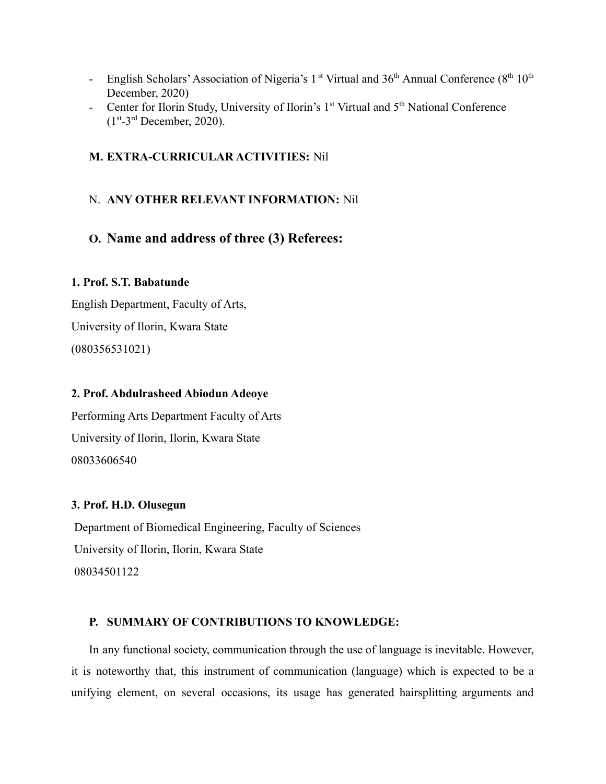- English Scholars' Association of Nigeria's 1<sup>st</sup> Virtual and  $36<sup>th</sup>$  Annual Conference ( $8<sup>th</sup> 10<sup>th</sup>$ December, 2020)
- Center for Ilorin Study, University of Ilorin's  $1<sup>st</sup>$  Virtual and  $5<sup>th</sup>$  National Conference  $(1<sup>st</sup>-3<sup>rd</sup> December, 2020).$

#### **M. EXTRA-CURRICULAR ACTIVITIES:** Nil

#### N. **ANY OTHER RELEVANT INFORMATION:** Nil

# **O. Name and address of three (3) Referees:**

#### **1. Prof. S.T. Babatunde**

English Department, Faculty of Arts, University of Ilorin, Kwara State (080356531021)

#### **2. Prof. Abdulrasheed Abiodun Adeoye**

Performing Arts Department Faculty of Arts University of Ilorin, Ilorin, Kwara State 08033606540

#### **3. Prof. H.D. Olusegun**

Department of Biomedical Engineering, Faculty of Sciences University of Ilorin, Ilorin, Kwara State 08034501122

#### **P. SUMMARY OF CONTRIBUTIONS TO KNOWLEDGE:**

In any functional society, communication through the use of language is inevitable. However, it is noteworthy that, this instrument of communication (language) which is expected to be a unifying element, on several occasions, its usage has generated hairsplitting arguments and